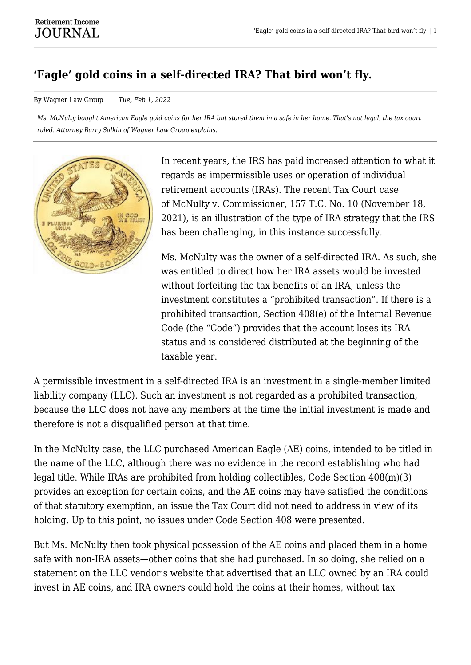## **'Eagle' gold coins in a self-directed IRA? That bird won't fly.**

By Wagner Law Group *Tue, Feb 1, 2022*

*Ms. McNulty bought American Eagle gold coins for her IRA but stored them in a safe in her home. That's not legal, the tax court ruled. Attorney Barry Salkin of Wagner Law Group explains.*



In recent years, the IRS has paid increased attention to what it regards as impermissible uses or operation of individual retirement accounts (IRAs). The recent Tax Court case of McNulty v. Commissioner, 157 T.C. No. 10 (November 18, 2021), is an illustration of the type of IRA strategy that the IRS has been challenging, in this instance successfully.

Ms. McNulty was the owner of a self-directed IRA. As such, she was entitled to direct how her IRA assets would be invested without forfeiting the tax benefits of an IRA, unless the investment constitutes a "prohibited transaction". If there is a prohibited transaction, Section 408(e) of the Internal Revenue Code (the "Code") provides that the account loses its IRA status and is considered distributed at the beginning of the taxable year.

A permissible investment in a self-directed IRA is an investment in a single-member limited liability company (LLC). Such an investment is not regarded as a prohibited transaction, because the LLC does not have any members at the time the initial investment is made and therefore is not a disqualified person at that time.

In the McNulty case, the LLC purchased American Eagle (AE) coins, intended to be titled in the name of the LLC, although there was no evidence in the record establishing who had legal title. While IRAs are prohibited from holding collectibles, Code Section 408(m)(3) provides an exception for certain coins, and the AE coins may have satisfied the conditions of that statutory exemption, an issue the Tax Court did not need to address in view of its holding. Up to this point, no issues under Code Section 408 were presented.

But Ms. McNulty then took physical possession of the AE coins and placed them in a home safe with non-IRA assets—other coins that she had purchased. In so doing, she relied on a statement on the LLC vendor's website that advertised that an LLC owned by an IRA could invest in AE coins, and IRA owners could hold the coins at their homes, without tax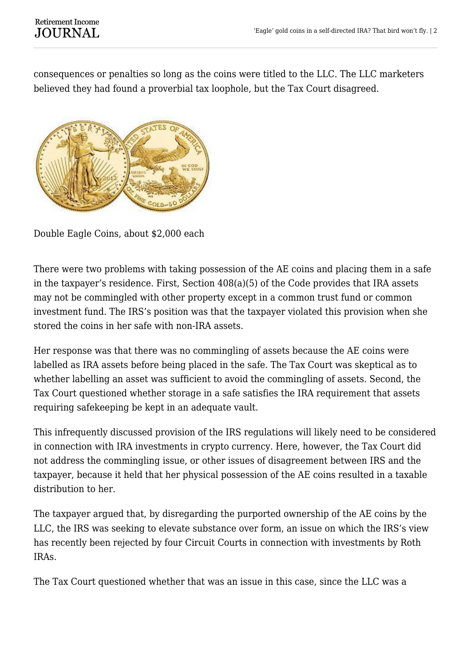## **Retirement Income JOURNAL**

consequences or penalties so long as the coins were titled to the LLC. The LLC marketers believed they had found a proverbial tax loophole, but the Tax Court disagreed.



Double Eagle Coins, about \$2,000 each

There were two problems with taking possession of the AE coins and placing them in a safe in the taxpayer's residence. First, Section 408(a)(5) of the Code provides that IRA assets may not be commingled with other property except in a common trust fund or common investment fund. The IRS's position was that the taxpayer violated this provision when she stored the coins in her safe with non-IRA assets.

Her response was that there was no commingling of assets because the AE coins were labelled as IRA assets before being placed in the safe. The Tax Court was skeptical as to whether labelling an asset was sufficient to avoid the commingling of assets. Second, the Tax Court questioned whether storage in a safe satisfies the IRA requirement that assets requiring safekeeping be kept in an adequate vault.

This infrequently discussed provision of the IRS regulations will likely need to be considered in connection with IRA investments in crypto currency. Here, however, the Tax Court did not address the commingling issue, or other issues of disagreement between IRS and the taxpayer, because it held that her physical possession of the AE coins resulted in a taxable distribution to her.

The taxpayer argued that, by disregarding the purported ownership of the AE coins by the LLC, the IRS was seeking to elevate substance over form, an issue on which the IRS's view has recently been rejected by four Circuit Courts in connection with investments by Roth IRAs.

The Tax Court questioned whether that was an issue in this case, since the LLC was a